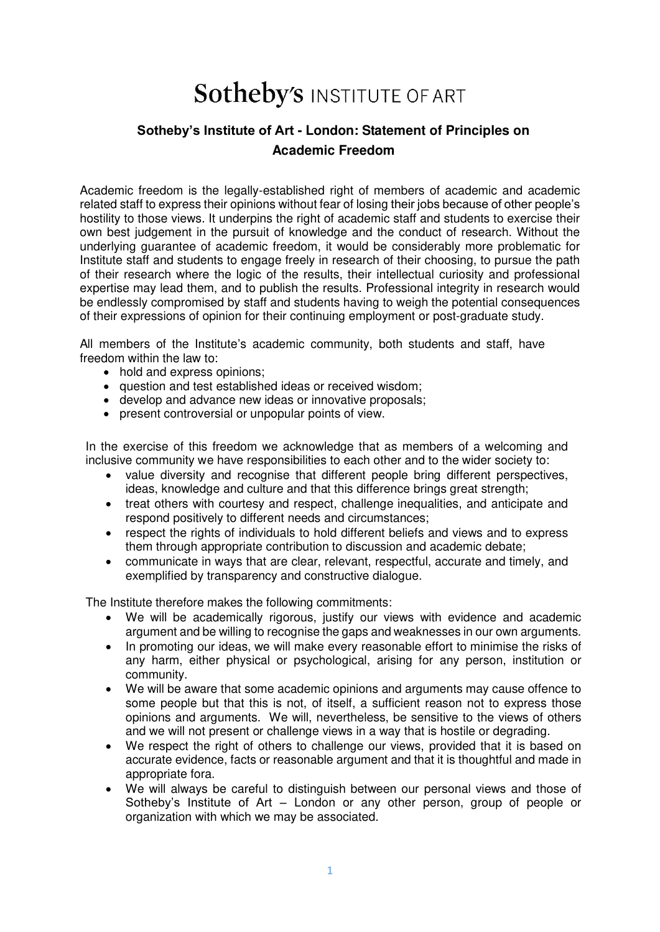## **Sotheby's INSTITUTE OF ART**

## **Sotheby's Institute of Art - London: Statement of Principles on Academic Freedom**

Academic freedom is the legally-established right of members of academic and academic related staff to express their opinions without fear of losing their jobs because of other people's hostility to those views. It underpins the right of academic staff and students to exercise their own best judgement in the pursuit of knowledge and the conduct of research. Without the underlying guarantee of academic freedom, it would be considerably more problematic for Institute staff and students to engage freely in research of their choosing, to pursue the path of their research where the logic of the results, their intellectual curiosity and professional expertise may lead them, and to publish the results. Professional integrity in research would be endlessly compromised by staff and students having to weigh the potential consequences of their expressions of opinion for their continuing employment or post-graduate study.

All members of the Institute's academic community, both students and staff, have freedom within the law to:

- hold and express opinions:
- question and test established ideas or received wisdom;
- develop and advance new ideas or innovative proposals;
- present controversial or unpopular points of view.

In the exercise of this freedom we acknowledge that as members of a welcoming and inclusive community we have responsibilities to each other and to the wider society to:

- value diversity and recognise that different people bring different perspectives, ideas, knowledge and culture and that this difference brings great strength;
- treat others with courtesy and respect, challenge inequalities, and anticipate and respond positively to different needs and circumstances;
- respect the rights of individuals to hold different beliefs and views and to express them through appropriate contribution to discussion and academic debate;
- communicate in ways that are clear, relevant, respectful, accurate and timely, and exemplified by transparency and constructive dialogue.

The Institute therefore makes the following commitments:

- We will be academically rigorous, justify our views with evidence and academic argument and be willing to recognise the gaps and weaknesses in our own arguments.
- In promoting our ideas, we will make every reasonable effort to minimise the risks of any harm, either physical or psychological, arising for any person, institution or community.
- We will be aware that some academic opinions and arguments may cause offence to some people but that this is not, of itself, a sufficient reason not to express those opinions and arguments. We will, nevertheless, be sensitive to the views of others and we will not present or challenge views in a way that is hostile or degrading.
- We respect the right of others to challenge our views, provided that it is based on accurate evidence, facts or reasonable argument and that it is thoughtful and made in appropriate fora.
- We will always be careful to distinguish between our personal views and those of Sotheby's Institute of Art – London or any other person, group of people or organization with which we may be associated.